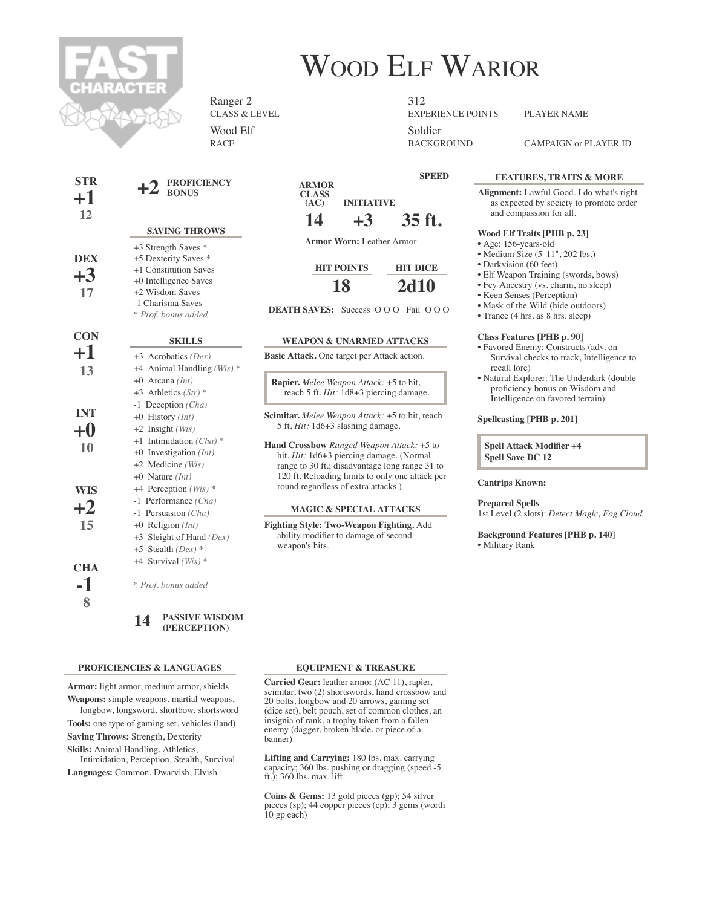

# WOOD ELF WARIOR

Ranger 2

CLASS & LEVEL Wood Elf

RACE

312

EXPERIENCE POINTS

PLAYER NAME

**BACKGROUND** Soldier

CAMPAIGN or PLAYER ID

| <b>STR</b><br>$\bf{+1}$<br>12 | $+2$ PROFICIENCY                                                                                                                                             | A<br>C              |
|-------------------------------|--------------------------------------------------------------------------------------------------------------------------------------------------------------|---------------------|
|                               | <b>SAVING THROWS</b>                                                                                                                                         |                     |
| <b>DEX</b><br>$+3$<br>17      | +3 Strength Saves *<br>+5 Dexterity Saves *<br>+1 Constitution Saves<br>+0 Intelligence Saves<br>+2 Wisdom Saves<br>-1 Charisma Saves<br>* Prof. bonus added | <b>DEATHS</b>       |
| <b>CON</b>                    | <b>SKILLS</b>                                                                                                                                                | <b>WEA</b>          |
| +1                            | $+3$ Acrobatics (Dex)                                                                                                                                        | <b>Basic Attad</b>  |
| 13                            | +4 Animal Handling (Wis) *                                                                                                                                   |                     |
|                               | $+0$ Arcana (Int)                                                                                                                                            | Rapier. <i>M</i>    |
|                               | +3 Athletics $(Str)$ *                                                                                                                                       | reach               |
|                               | $-1$ Deception (Cha)                                                                                                                                         |                     |
| <b>INT</b>                    | +0 History $(Int)$                                                                                                                                           | Scimitar. $\Lambda$ |
| $+0$                          | $+2$ Insight (Wis)                                                                                                                                           | 5 ft. Hit           |
|                               | +1 Intimidation $(Cha)*$                                                                                                                                     | <b>Hand Cros</b>    |
| 10                            | +0 Investigation $(Int)$                                                                                                                                     | hit. Hit:           |
|                               | $+2$ Medicine (Wis)                                                                                                                                          | range to            |
|                               | $+0$ Nature (Int)                                                                                                                                            | $120$ ft. I         |
| <b>WIS</b>                    | +4 Perception (Wis) *                                                                                                                                        | round re            |
| $+2$                          | -1 Performance (Cha)                                                                                                                                         |                     |
|                               | -1 Persuasion (Cha)                                                                                                                                          | MA                  |
| 15                            | $+0$ Religion (Int)                                                                                                                                          | <b>Fighting St</b>  |
|                               | $+3$ Sleight of Hand (Dex)                                                                                                                                   | ability r<br>weapon |
|                               | +5 Stealth $(Dex)$ *                                                                                                                                         |                     |
| <b>CHA</b>                    | +4 Survival $(Wis)$ *                                                                                                                                        |                     |
| -1<br>8                       | * Prof. bonus added                                                                                                                                          |                     |
|                               | <b>PASSIVE WISDOM</b><br>14<br>(PERCEPTION)                                                                                                                  |                     |

#### **PROFICIENCIES & LANGUAGES**

**Armor:** light armor, medium armor, shields

**Weapons:** simple weapons, martial weapons, longbow, longsword, shortbow, shortsword

**Tools:** one type of gaming set, vehicles (land) **Saving Throws:** Strength, Dexterity

**Skills:** Animal Handling, Athletics,

Intimidation, Perception, Stealth, Survival **Languages:** Common, Dwarvish, Elvish

**ARMOR CLASS (AC) 14 INITIATIVE +3 SPEED 35 ft.**

**Armor Worn:** Leather Armor

**HIT POINTS 18 HIT DICE 2d10**

**DEATH SAVES:** Success O O O Fail O O O

#### **WEAPON & UNARMED ATTACKS**

**Basic Attack.** One target per Attack action.

**Rapier.** *Melee Weapon Attack:* +5 to hit, 5 ft. *Hit:* 1d8+3 piercing damage.

**Scimitar.** *Melee Weapon Attack:* +5 to hit, reach : 1d6+3 slashing damage.

**Hand Crossbow** *Ranged Weapon Attack:* +5 to 1d6+3 piercing damage. (Normal 30 ft.; disadvantage long range 31 to Reloading limits to only one attack per egardless of extra attacks.)

#### **MAGIC & SPECIAL ATTACKS**

**Fighting Style: Two-Weapon Fighting.** Add nodifier to damage of second 's hits.

## **FEATURES, TRAITS & MORE**

**Alignment:** Lawful Good. I do what's right as expected by society to promote order and compassion for all.

#### **Wood Elf Traits [PHB p. 23]**

- Age: 156-years-old
- Medium Size (5' 11", 202 lbs.)
- Darkvision (60 feet)
- Elf Weapon Training (swords, bows)
- Fey Ancestry (vs. charm, no sleep)
- Keen Senses (Perception)
- Mask of the Wild (hide outdoors)
- Trance (4 hrs. as 8 hrs. sleep)

#### **Class Features [PHB p. 90]**

- Favored Enemy: Constructs (adv. on Survival checks to track, Intelligence to recall lore)
- Natural Explorer: The Underdark (double proficiency bonus on Wisdom and Intelligence on favored terrain)

#### **Spellcasting [PHB p. 201]**

**Spell Attack Modifier +4 Spell Save DC 12**

#### **Cantrips Known:**

**Prepared Spells**

1st Level (2 slots): *Detect Magic, Fog Cloud*

**Background Features [PHB p. 140]** • Military Rank

### **EQUIPMENT & TREASURE**

**Carried Gear:** leather armor (AC 11), rapier, scimitar, two (2) shortswords, hand crossbow and 20 bolts, longbow and 20 arrows, gaming set (dice set), belt pouch, set of common clothes, an insignia of rank, a trophy taken from a fallen enemy (dagger, broken blade, or piece of a banner)

**Lifting and Carrying:** 180 lbs. max. carrying capacity; 360 lbs. pushing or dragging (speed -5 ft.); 360 lbs. max. lift.

**Coins & Gems:** 13 gold pieces (gp); 54 silver pieces (sp); 44 copper pieces (cp); 3 gems (worth 10 gp each)